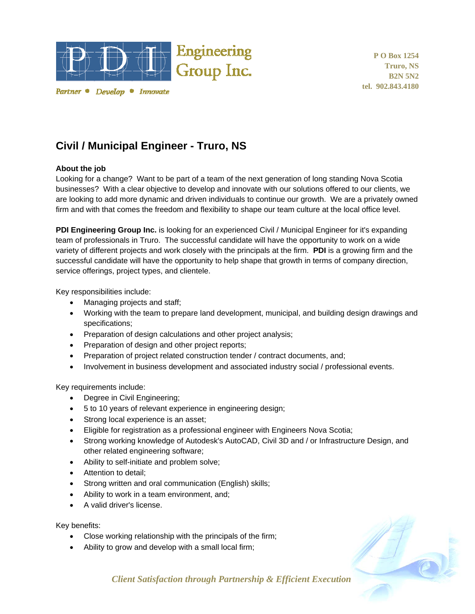

Partner • Develop • Innovate

**P O Box 1254 Truro, NS B2N 5N2 tel. 902.843.4180** 

## **Civil / Municipal Engineer - Truro, NS**

## **About the job**

Looking for a change? Want to be part of a team of the next generation of long standing Nova Scotia businesses? With a clear objective to develop and innovate with our solutions offered to our clients, we are looking to add more dynamic and driven individuals to continue our growth. We are a privately owned firm and with that comes the freedom and flexibility to shape our team culture at the local office level.

**PDI Engineering Group Inc.** is looking for an experienced Civil / Municipal Engineer for it's expanding team of professionals in Truro. The successful candidate will have the opportunity to work on a wide variety of different projects and work closely with the principals at the firm. **PDI** is a growing firm and the successful candidate will have the opportunity to help shape that growth in terms of company direction, service offerings, project types, and clientele.

Key responsibilities include:

- Managing projects and staff;
- Working with the team to prepare land development, municipal, and building design drawings and specifications;
- Preparation of design calculations and other project analysis;
- Preparation of design and other project reports;
- Preparation of project related construction tender / contract documents, and;
- Involvement in business development and associated industry social / professional events.

Key requirements include:

- Degree in Civil Engineering;
- 5 to 10 years of relevant experience in engineering design;
- Strong local experience is an asset;
- Eligible for registration as a professional engineer with Engineers Nova Scotia;
- Strong working knowledge of Autodesk's AutoCAD, Civil 3D and / or Infrastructure Design, and other related engineering software;
- Ability to self-initiate and problem solve;
- Attention to detail;
- Strong written and oral communication (English) skills;
- Ability to work in a team environment, and;
- A valid driver's license.

Key benefits:

- Close working relationship with the principals of the firm;
- Ability to grow and develop with a small local firm;



*Client Satisfaction through Partnership & Efficient Execution*